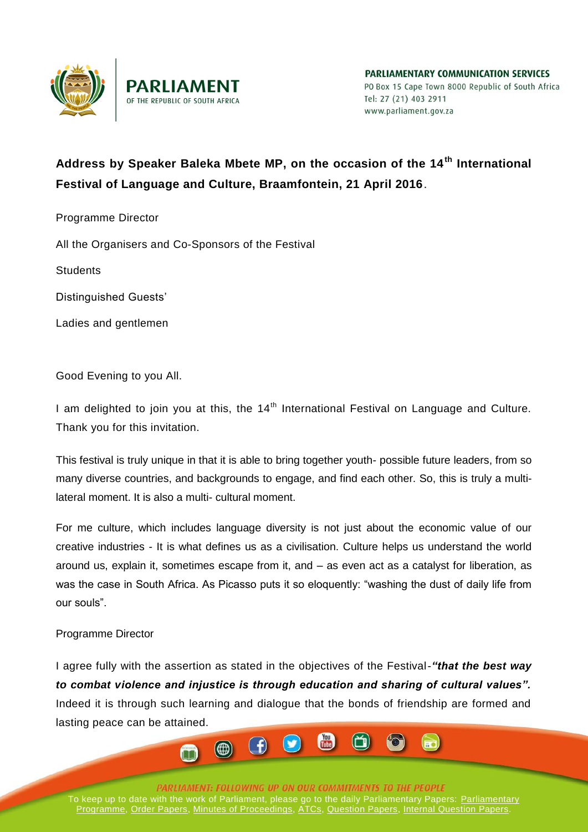

PARLIAMENTARY COMMIINICATION SERVICES PO Box 15 Cape Town 8000 Republic of South Africa Tel: 27 (21) 403 2911 www.parliament.gov.za

## **Address by Speaker Baleka Mbete MP, on the occasion of the 14th International Festival of Language and Culture, Braamfontein, 21 April 2016**.

Programme Director

All the Organisers and Co-Sponsors of the Festival

**Students** 

Distinguished Guests'

Ladies and gentlemen

Good Evening to you All.

I am delighted to join you at this, the  $14<sup>th</sup>$  International Festival on Language and Culture. Thank you for this invitation.

This festival is truly unique in that it is able to bring together youth- possible future leaders, from so many diverse countries, and backgrounds to engage, and find each other. So, this is truly a multilateral moment. It is also a multi- cultural moment.

For me culture, which includes language diversity is not just about the economic value of our creative industries - It is what defines us as a civilisation. Culture helps us understand the world around us, explain it, sometimes escape from it, and – as even act as a catalyst for liberation, as was the case in South Africa. As Picasso puts it so eloquently: "washing the dust of daily life from our souls".

## Programme Director

I agree fully with the assertion as stated in the objectives of the Festival-*"that the best way to combat violence and injustice is through education and sharing of cultural values".* Indeed it is through such learning and dialogue that the bonds of friendship are formed and lasting peace can be attained.

 $\circled{)}$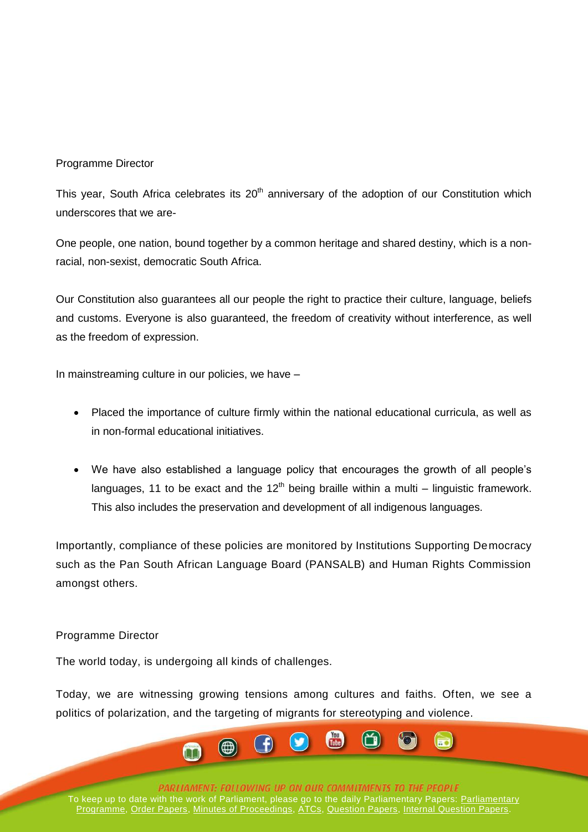## Programme Director

This year, South Africa celebrates its 20<sup>th</sup> anniversary of the adoption of our Constitution which underscores that we are-

One people, one nation, bound together by a common heritage and shared destiny, which is a nonracial, non-sexist, democratic South Africa.

Our Constitution also guarantees all our people the right to practice their culture, language, beliefs and customs. Everyone is also guaranteed, the freedom of creativity without interference, as well as the freedom of expression.

In mainstreaming culture in our policies, we have –

- Placed the importance of culture firmly within the national educational curricula, as well as in non-formal educational initiatives.
- We have also established a language policy that encourages the growth of all people's languages, 11 to be exact and the  $12<sup>th</sup>$  being braille within a multi – linguistic framework. This also includes the preservation and development of all indigenous languages.

Importantly, compliance of these policies are monitored by Institutions Supporting Democracy such as the Pan South African Language Board (PANSALB) and Human Rights Commission amongst others.

## Programme Director

The world today, is undergoing all kinds of challenges.

Today, we are witnessing growing tensions among cultures and faiths. Often, we see a politics of polarization, and the targeting of migrants for stereotyping and violence.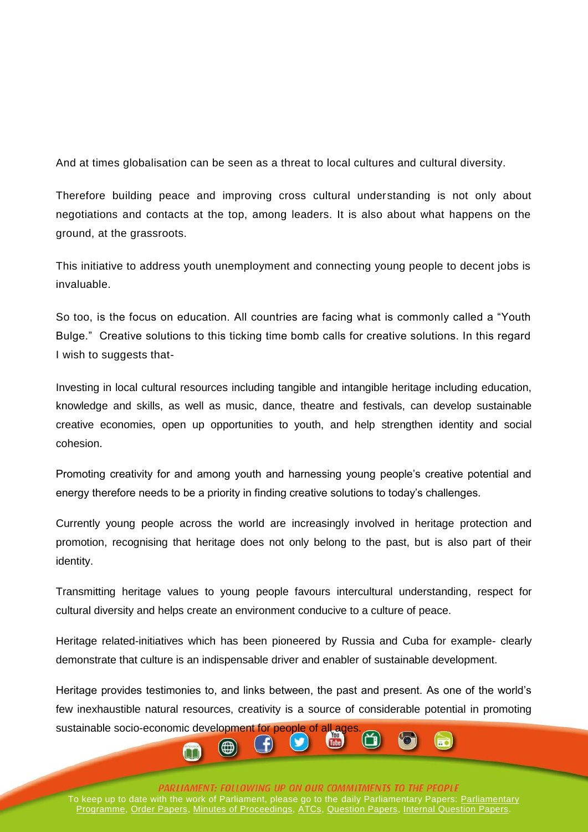And at times globalisation can be seen as a threat to local cultures and cultural diversity.

Therefore building peace and improving cross cultural understanding is not only about negotiations and contacts at the top, among leaders. It is also about what happens on the ground, at the grassroots.

This initiative to address youth unemployment and connecting young people to decent jobs is invaluable.

So too, is the focus on education. All countries are facing what is commonly called a "Youth Bulge." Creative solutions to this ticking time bomb calls for creative solutions. In this regard I wish to suggests that-

Investing in local cultural resources including tangible and intangible heritage including education, knowledge and skills, as well as music, dance, theatre and festivals, can develop sustainable creative economies, open up opportunities to youth, and help strengthen identity and social cohesion.

Promoting creativity for and among youth and harnessing young people's creative potential and energy therefore needs to be a priority in finding creative solutions to today's challenges.

Currently young people across the world are increasingly involved in heritage protection and promotion, recognising that heritage does not only belong to the past, but is also part of their identity.

Transmitting heritage values to young people favours intercultural understanding, respect for cultural diversity and helps create an environment conducive to a culture of peace.

Heritage related-initiatives which has been pioneered by Russia and Cuba for example- clearly demonstrate that culture is an indispensable driver and enabler of sustainable development.

Heritage provides testimonies to, and links between, the past and present. As one of the world's few inexhaustible natural resources, creativity is a source of considerable potential in promoting

sustainable socio-economic development for people of all ages